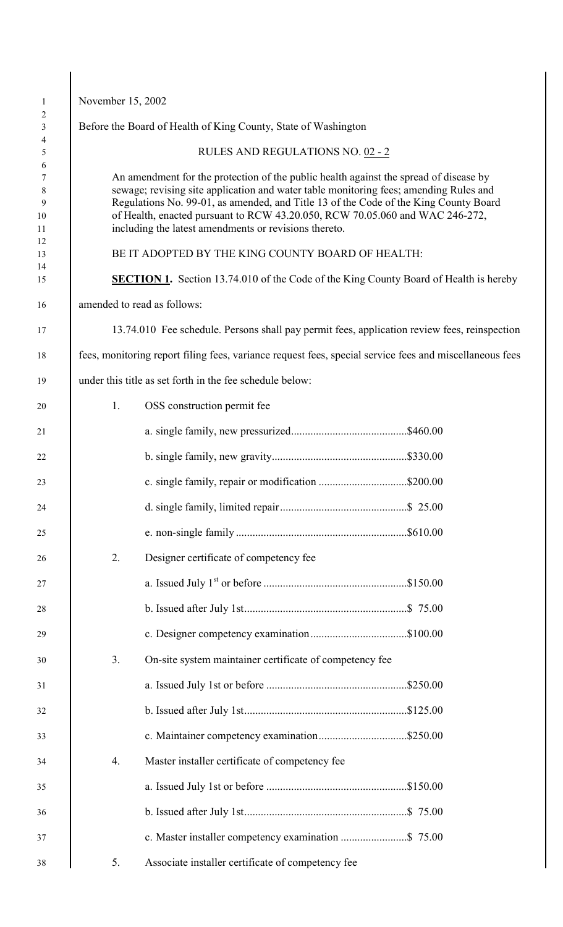| November 15, 2002 |                                                                                                                                                                                                                                                                                                                                                                                                                 |  |
|-------------------|-----------------------------------------------------------------------------------------------------------------------------------------------------------------------------------------------------------------------------------------------------------------------------------------------------------------------------------------------------------------------------------------------------------------|--|
|                   | Before the Board of Health of King County, State of Washington                                                                                                                                                                                                                                                                                                                                                  |  |
|                   | RULES AND REGULATIONS NO. 02 - 2                                                                                                                                                                                                                                                                                                                                                                                |  |
|                   | An amendment for the protection of the public health against the spread of disease by<br>sewage; revising site application and water table monitoring fees; amending Rules and<br>Regulations No. 99-01, as amended, and Title 13 of the Code of the King County Board<br>of Health, enacted pursuant to RCW 43.20.050, RCW 70.05.060 and WAC 246-272,<br>including the latest amendments or revisions thereto. |  |
|                   | BE IT ADOPTED BY THE KING COUNTY BOARD OF HEALTH:                                                                                                                                                                                                                                                                                                                                                               |  |
|                   | <b>SECTION 1.</b> Section 13.74.010 of the Code of the King County Board of Health is hereby                                                                                                                                                                                                                                                                                                                    |  |
|                   | amended to read as follows:                                                                                                                                                                                                                                                                                                                                                                                     |  |
|                   | 13.74.010 Fee schedule. Persons shall pay permit fees, application review fees, reinspection                                                                                                                                                                                                                                                                                                                    |  |
|                   | fees, monitoring report filing fees, variance request fees, special service fees and miscellaneous fees                                                                                                                                                                                                                                                                                                         |  |
|                   | under this title as set forth in the fee schedule below:                                                                                                                                                                                                                                                                                                                                                        |  |
| 1.                | OSS construction permit fee                                                                                                                                                                                                                                                                                                                                                                                     |  |
|                   |                                                                                                                                                                                                                                                                                                                                                                                                                 |  |
|                   |                                                                                                                                                                                                                                                                                                                                                                                                                 |  |
|                   | c. single family, repair or modification \$200.00                                                                                                                                                                                                                                                                                                                                                               |  |
|                   |                                                                                                                                                                                                                                                                                                                                                                                                                 |  |
|                   |                                                                                                                                                                                                                                                                                                                                                                                                                 |  |
| 2.                | Designer certificate of competency fee                                                                                                                                                                                                                                                                                                                                                                          |  |
|                   |                                                                                                                                                                                                                                                                                                                                                                                                                 |  |
|                   |                                                                                                                                                                                                                                                                                                                                                                                                                 |  |
|                   |                                                                                                                                                                                                                                                                                                                                                                                                                 |  |
| 3.                | On-site system maintainer certificate of competency fee                                                                                                                                                                                                                                                                                                                                                         |  |
|                   |                                                                                                                                                                                                                                                                                                                                                                                                                 |  |
|                   |                                                                                                                                                                                                                                                                                                                                                                                                                 |  |
|                   |                                                                                                                                                                                                                                                                                                                                                                                                                 |  |
| 4.                | Master installer certificate of competency fee                                                                                                                                                                                                                                                                                                                                                                  |  |
|                   |                                                                                                                                                                                                                                                                                                                                                                                                                 |  |
|                   |                                                                                                                                                                                                                                                                                                                                                                                                                 |  |
|                   |                                                                                                                                                                                                                                                                                                                                                                                                                 |  |
| 5.                | Associate installer certificate of competency fee                                                                                                                                                                                                                                                                                                                                                               |  |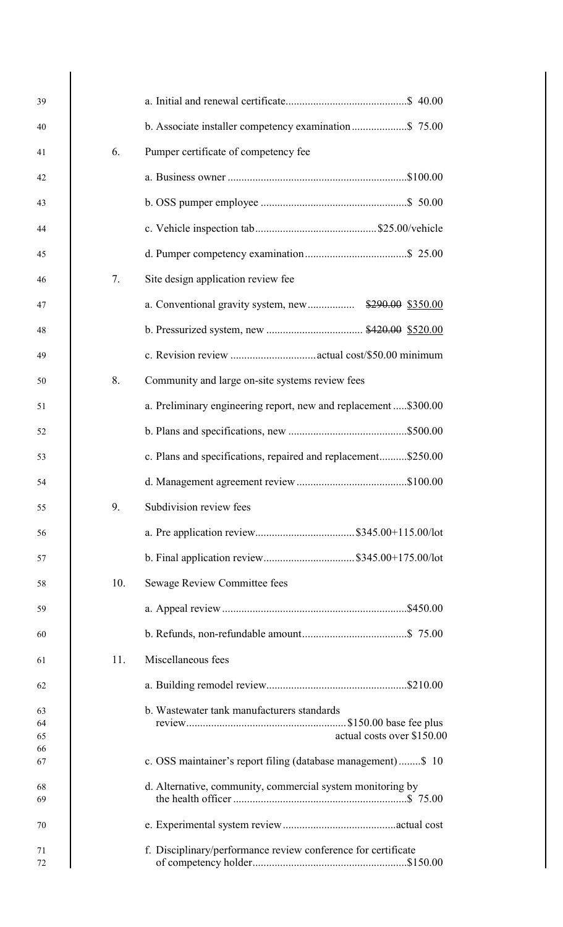| 39             |     |                                                                          |
|----------------|-----|--------------------------------------------------------------------------|
| 40             |     |                                                                          |
| 41             | 6.  | Pumper certificate of competency fee                                     |
| 42             |     |                                                                          |
| 43             |     |                                                                          |
| 44             |     |                                                                          |
| 45             |     |                                                                          |
| 46             | 7.  | Site design application review fee                                       |
| 47             |     |                                                                          |
| 48             |     |                                                                          |
| 49             |     |                                                                          |
| 50             | 8.  | Community and large on-site systems review fees                          |
| 51             |     | a. Preliminary engineering report, new and replacement \$300.00          |
| 52             |     |                                                                          |
| 53             |     | c. Plans and specifications, repaired and replacement\$250.00            |
| 54             |     |                                                                          |
| 55             | 9.  | Subdivision review fees                                                  |
| 56             |     |                                                                          |
| 57             |     | b. Final application review\$345.00+175.00/lot                           |
| 58             | 10. | Sewage Review Committee fees                                             |
| 59             |     |                                                                          |
| 60             |     |                                                                          |
| 61             | 11. | Miscellaneous fees                                                       |
| 62             |     |                                                                          |
| 63<br>64<br>65 |     | b. Wastewater tank manufacturers standards<br>actual costs over \$150.00 |
| 66<br>67       |     | c. OSS maintainer's report filing (database management)\$ 10             |
| 68<br>69       |     | d. Alternative, community, commercial system monitoring by               |
| 70             |     |                                                                          |
| 71<br>72       |     | f. Disciplinary/performance review conference for certificate            |